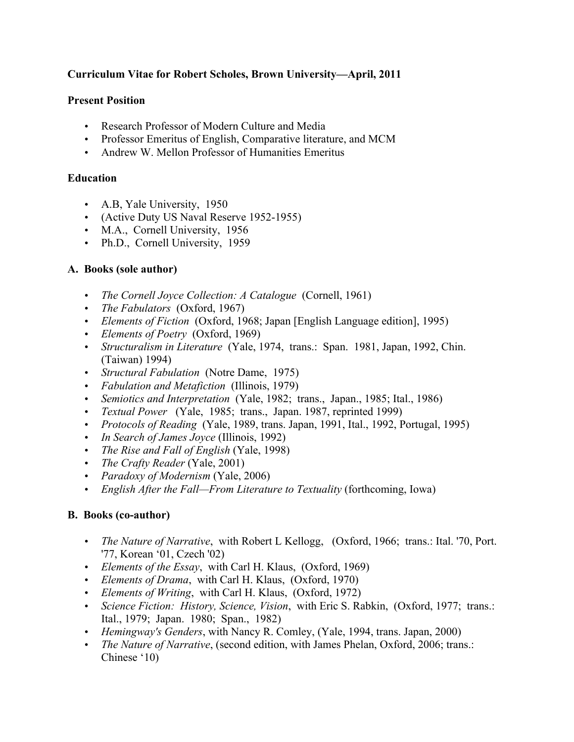## **Curriculum Vitae for Robert Scholes, Brown University—April, 2011**

#### **Present Position**

- Research Professor of Modern Culture and Media
- Professor Emeritus of English, Comparative literature, and MCM
- Andrew W. Mellon Professor of Humanities Emeritus

### **Education**

- A.B, Yale University, 1950
- (Active Duty US Naval Reserve 1952-1955)
- M.A., Cornell University, 1956
- Ph.D., Cornell University, 1959

## **A. Books (sole author)**

- *The Cornell Joyce Collection: A Catalogue* (Cornell, 1961)
- *The Fabulators* (Oxford, 1967)
- *Elements of Fiction* (Oxford, 1968; Japan [English Language edition], 1995)
- *Elements of Poetry* (Oxford, 1969)
- *Structuralism in Literature* (Yale, 1974, trans.: Span. 1981, Japan, 1992, Chin. (Taiwan) 1994)
- *Structural Fabulation* (Notre Dame, 1975)
- *Fabulation and Metafiction* (Illinois, 1979)
- *Semiotics and Interpretation* (Yale, 1982; trans., Japan., 1985; Ital., 1986)
- *Textual Power* (Yale, 1985; trans., Japan. 1987, reprinted 1999)
- *Protocols of Reading* (Yale, 1989, trans. Japan, 1991, Ital., 1992, Portugal, 1995)
- *In Search of James Joyce* (Illinois, 1992)
- *The Rise and Fall of English* (Yale, 1998)
- *The Crafty Reader* (Yale, 2001)
- *Paradoxy of Modernism* (Yale, 2006)
- *English After the Fall—From Literature to Textuality* (forthcoming, Iowa)

# **B. Books (co-author)**

- *The Nature of Narrative*, with Robert L Kellogg, (Oxford, 1966; trans.: Ital. '70, Port. '77, Korean '01, Czech '02)
- *Elements of the Essay*, with Carl H. Klaus, (Oxford, 1969)
- *Elements of Drama*, with Carl H. Klaus, (Oxford, 1970)
- *Elements of Writing*, with Carl H. Klaus, (Oxford, 1972)
- *Science Fiction: History, Science, Vision*, with Eric S. Rabkin, (Oxford, 1977; trans.: Ital., 1979; Japan. 1980; Span., 1982)
- *Hemingway's Genders*, with Nancy R. Comley, (Yale, 1994, trans. Japan, 2000)
- *The Nature of Narrative*, (second edition, with James Phelan, Oxford, 2006; trans.: Chinese '10)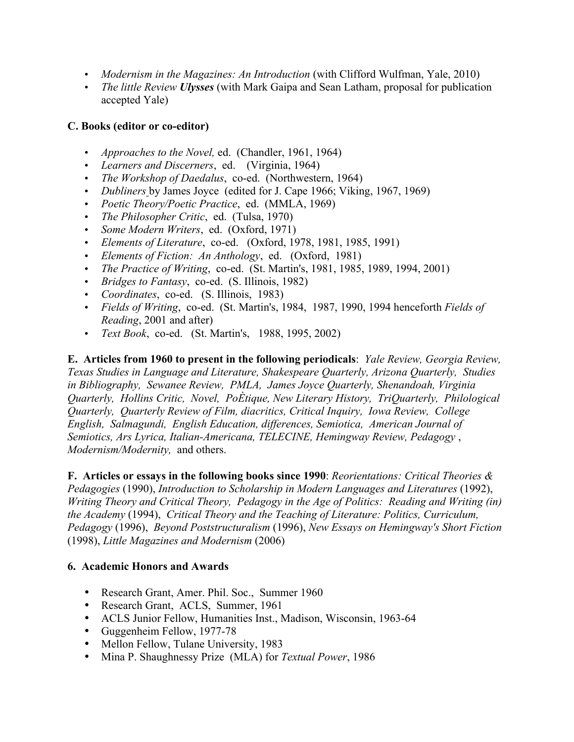- *Modernism in the Magazines: An Introduction* (with Clifford Wulfman, Yale, 2010)
- *The little Review Ulysses* (with Mark Gaipa and Sean Latham, proposal for publication accepted Yale)

# **C. Books (editor or co-editor)**

- *Approaches to the Novel,* ed. (Chandler, 1961, 1964)
- *Learners and Discerners*, ed. (Virginia, 1964)
- *The Workshop of Daedalus*, co-ed. (Northwestern, 1964)
- *Dubliners* by James Joyce (edited for J. Cape 1966; Viking, 1967, 1969)
- *Poetic Theory/Poetic Practice*, ed. (MMLA, 1969)
- *The Philosopher Critic*, ed. (Tulsa, 1970)
- *Some Modern Writers*, ed. (Oxford, 1971)
- *Elements of Literature*, co-ed. (Oxford, 1978, 1981, 1985, 1991)
- *Elements of Fiction: An Anthology*, ed. (Oxford, 1981)
- *The Practice of Writing*, co-ed. (St. Martin's, 1981, 1985, 1989, 1994, 2001)
- *Bridges to Fantasy*, co-ed. (S. Illinois, 1982)
- *Coordinates*, co-ed. (S. Illinois, 1983)
- *Fields of Writing*, co-ed. (St. Martin's, 1984, 1987, 1990, 1994 henceforth *Fields of Reading*, 2001 and after)
- *Text Book*, co-ed. (St. Martin's, 1988, 1995, 2002)

**E. Articles from 1960 to present in the following periodicals**: *Yale Review, Georgia Review, Texas Studies in Language and Literature, Shakespeare Quarterly, Arizona Quarterly, Studies in Bibliography, Sewanee Review, PMLA, James Joyce Quarterly, Shenandoah, Virginia Quarterly, Hollins Critic, Novel, PoÈtique, New Literary History, TriQuarterly, Philological Quarterly, Quarterly Review of Film, diacritics, Critical Inquiry, Iowa Review, College English, Salmagundi, English Education, differences, Semiotica, American Journal of Semiotics, Ars Lyrica, Italian-Americana, TELECINE, Hemingway Review, Pedagogy* , *Modernism/Modernity,* and others.

**F. Articles or essays in the following books since 1990**: *Reorientations: Critical Theories & Pedagogies* (1990), *Introduction to Scholarship in Modern Languages and Literatures* (1992), *Writing Theory and Critical Theory, Pedagogy in the Age of Politics: Reading and Writing (in) the Academy* (1994), *Critical Theory and the Teaching of Literature: Politics, Curriculum, Pedagogy* (1996), *Beyond Poststructuralism* (1996), *New Essays on Hemingway's Short Fiction* (1998), *Little Magazines and Modernism* (2006)

#### **6. Academic Honors and Awards**

- Research Grant, Amer. Phil. Soc., Summer 1960
- Research Grant, ACLS, Summer, 1961
- ACLS Junior Fellow, Humanities Inst., Madison, Wisconsin, 1963-64
- Guggenheim Fellow, 1977-78
- Mellon Fellow, Tulane University, 1983
- Mina P. Shaughnessy Prize (MLA) for *Textual Power*, 1986